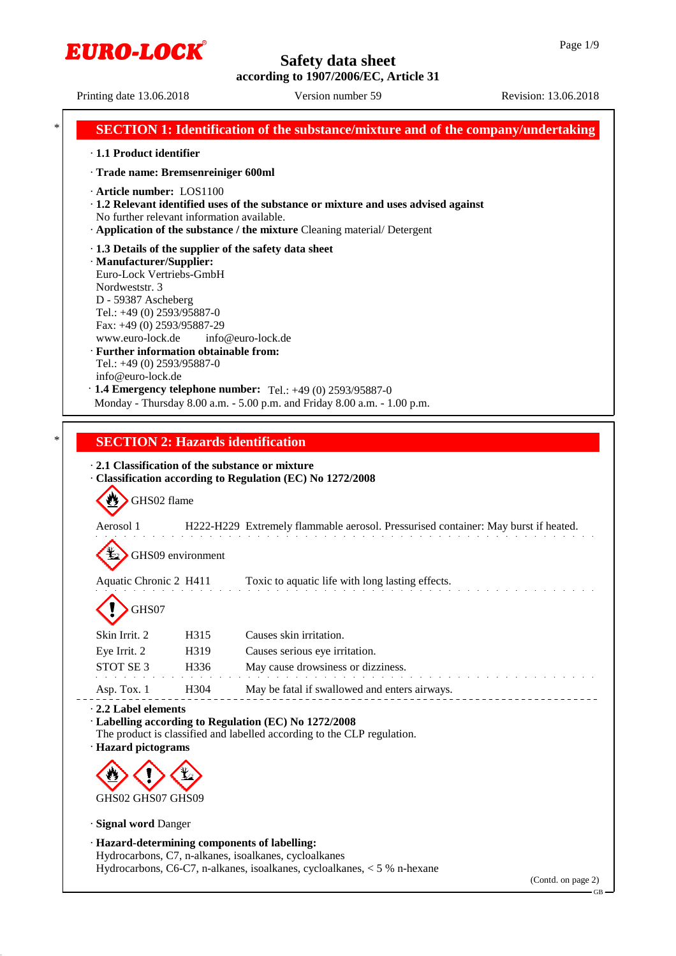

Printing date 13.06.2018 Version number 59 Revision: 13.06.2018

|                                                                                        |                                                                                                                                                                                                                                                                                                                                                                                                                                                                                                                                                                     | <b>SECTION 1: Identification of the substance/mixture and of the company/undertaking</b>                                                                                                                                                               |  |  |  |
|----------------------------------------------------------------------------------------|---------------------------------------------------------------------------------------------------------------------------------------------------------------------------------------------------------------------------------------------------------------------------------------------------------------------------------------------------------------------------------------------------------------------------------------------------------------------------------------------------------------------------------------------------------------------|--------------------------------------------------------------------------------------------------------------------------------------------------------------------------------------------------------------------------------------------------------|--|--|--|
| · 1.1 Product identifier                                                               |                                                                                                                                                                                                                                                                                                                                                                                                                                                                                                                                                                     |                                                                                                                                                                                                                                                        |  |  |  |
| · Trade name: Bremsenreiniger 600ml                                                    |                                                                                                                                                                                                                                                                                                                                                                                                                                                                                                                                                                     |                                                                                                                                                                                                                                                        |  |  |  |
| · Article number: LOS1100<br>No further relevant information available.                |                                                                                                                                                                                                                                                                                                                                                                                                                                                                                                                                                                     | · 1.2 Relevant identified uses of the substance or mixture and uses advised against                                                                                                                                                                    |  |  |  |
| Nordweststr. 3                                                                         | Application of the substance / the mixture Cleaning material/Detergent<br>· 1.3 Details of the supplier of the safety data sheet<br>· Manufacturer/Supplier:<br>Euro-Lock Vertriebs-GmbH<br>D - 59387 Ascheberg<br>Tel.: +49 (0) 2593/95887-0<br>Fax: +49 (0) 2593/95887-29<br>www.euro-lock.de<br>info@euro-lock.de<br>· Further information obtainable from:<br>Tel.: +49 (0) 2593/95887-0<br>info@euro-lock.de<br>$\cdot$ 1.4 Emergency telephone number: Tel.: +49 (0) 2593/95887-0<br>Monday - Thursday 8.00 a.m. - 5.00 p.m. and Friday 8.00 a.m. - 1.00 p.m. |                                                                                                                                                                                                                                                        |  |  |  |
|                                                                                        |                                                                                                                                                                                                                                                                                                                                                                                                                                                                                                                                                                     |                                                                                                                                                                                                                                                        |  |  |  |
| GHS02 flame<br>Aerosol 1<br>Aquatic Chronic 2 H411                                     | GHS09 environment                                                                                                                                                                                                                                                                                                                                                                                                                                                                                                                                                   | 2.1 Classification of the substance or mixture<br>· Classification according to Regulation (EC) No 1272/2008<br>H222-H229 Extremely flammable aerosol. Pressurised container: May burst if heated.<br>Toxic to aquatic life with long lasting effects. |  |  |  |
| GHS07                                                                                  |                                                                                                                                                                                                                                                                                                                                                                                                                                                                                                                                                                     |                                                                                                                                                                                                                                                        |  |  |  |
| Skin Irrit. 2<br>Eye Irrit. 2<br>STOT SE 3                                             | H315<br>H319<br>H336                                                                                                                                                                                                                                                                                                                                                                                                                                                                                                                                                | Causes skin irritation.<br>Causes serious eye irritation.<br>May cause drowsiness or dizziness.                                                                                                                                                        |  |  |  |
| Asp. Tox. 1                                                                            | H <sub>304</sub>                                                                                                                                                                                                                                                                                                                                                                                                                                                                                                                                                    | May be fatal if swallowed and enters airways.                                                                                                                                                                                                          |  |  |  |
| 2.2 Label elements<br>· Hazard pictograms<br>GHS02 GHS07 GHS09<br>· Signal word Danger |                                                                                                                                                                                                                                                                                                                                                                                                                                                                                                                                                                     | · Labelling according to Regulation (EC) No 1272/2008<br>The product is classified and labelled according to the CLP regulation.                                                                                                                       |  |  |  |
|                                                                                        |                                                                                                                                                                                                                                                                                                                                                                                                                                                                                                                                                                     | · Hazard-determining components of labelling:<br>Hydrocarbons, C7, n-alkanes, isoalkanes, cycloalkanes<br>Hydrocarbons, C6-C7, n-alkanes, isoalkanes, cycloalkanes, $<$ 5 % n-hexane<br>(Contd. on page 2)<br>GB-                                      |  |  |  |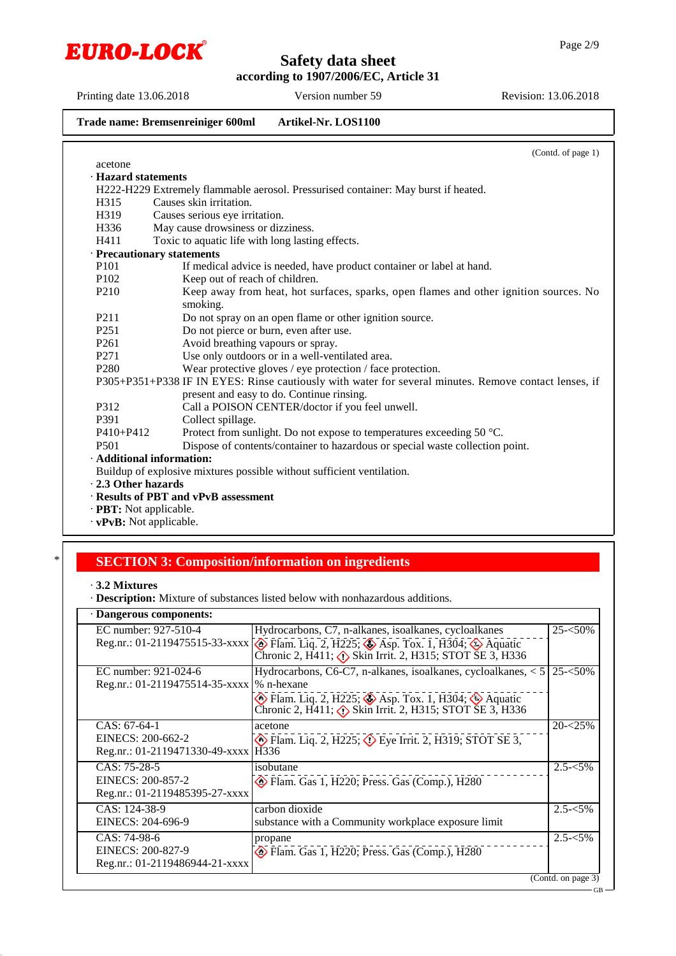

Printing date 13.06.2018 Version number 59 Revision: 13.06.2018

#### **Trade name: Bremsenreiniger 600ml Artikel-Nr. LOS1100**

(Contd. of page 1) acetone · **Hazard statements** H222-H229 Extremely flammable aerosol. Pressurised container: May burst if heated. H315 Causes skin irritation. H319 Causes serious eye irritation. H336 May cause drowsiness or dizziness. H411 Toxic to aquatic life with long lasting effects. · **Precautionary statements** P101 If medical advice is needed, have product container or label at hand.<br>P102 Keep out of reach of children. P102 Keep out of reach of children.<br>P210 Keep away from heat, hot su Keep away from heat, hot surfaces, sparks, open flames and other ignition sources. No smoking. P211 Do not spray on an open flame or other ignition source.<br>P251 Do not pierce or burn, even after use. P251 Do not pierce or burn, even after use.<br>P261 Avoid breathing vapours or spray. Avoid breathing vapours or spray. P271 Use only outdoors or in a well-ventilated area. P280 Wear protective gloves / eye protection / face protection. P305+P351+P338 IF IN EYES: Rinse cautiously with water for several minutes. Remove contact lenses, if present and easy to do. Continue rinsing. P312 Call a POISON CENTER/doctor if you feel unwell. P391 Collect spillage.  $P410+P412$  Protect from sunlight. Do not expose to temperatures exceeding 50 °C. P501 Dispose of contents/container to hazardous or special waste collection point. · **Additional information:** Buildup of explosive mixtures possible without sufficient ventilation. · **2.3 Other hazards** · **Results of PBT and vPvB assessment**

- · **PBT:** Not applicable.
- · **vPvB:** Not applicable.

#### \* **SECTION 3: Composition/information on ingredients**

<sup>·</sup> **Description:** Mixture of substances listed below with nonhazardous additions.

| · Dangerous components:                     |                                                                                                                                                               |                    |  |  |
|---------------------------------------------|---------------------------------------------------------------------------------------------------------------------------------------------------------------|--------------------|--|--|
| EC number: 927-510-4                        | Hydrocarbons, C7, n-alkanes, isoalkanes, cycloalkanes                                                                                                         | $25 - 50\%$        |  |  |
|                                             | Reg.nr.: 01-2119475515-33-xxxx (A) Flam. Liq. 2, H225; Asp. Tox. 1, H304; Aquatic<br>Chronic 2, H411; (1) Skin Irrit. 2, H315; STOT SE 3, H336                |                    |  |  |
| EC number: 921-024-6                        | Hydrocarbons, C6-C7, n-alkanes, isoalkanes, cycloalkanes, <5                                                                                                  | $25 - 50\%$        |  |  |
| Reg.nr.: 01-2119475514-35-xxxx   % n-hexane |                                                                                                                                                               |                    |  |  |
|                                             | $\otimes$ Flam. Liq. 2, H225; $\otimes$ Asp. Tox. 1, H304; $\otimes$ Aquatic<br>Chronic 2, H411; $\langle \cdot \rangle$ Skin Irrit. 2, H315; STOT SE 3, H336 |                    |  |  |
| $CAS: 67-64-1$                              | acetone                                                                                                                                                       | $20 - 25\%$        |  |  |
| EINECS: 200-662-2                           | Tham. Liq. 2, H225; $\circled{}$ Eye Irrit. 2, H319; STOT SE 3,                                                                                               |                    |  |  |
| Reg.nr.: 01-2119471330-49-xxxx   H336       |                                                                                                                                                               |                    |  |  |
| $CAS: 75-28-5$                              | isobutane                                                                                                                                                     | $2.5 - 5\%$        |  |  |
| EINECS: 200-857-2                           | Flam. Gas 1, H220; Press. Gas (Comp.), H280                                                                                                                   |                    |  |  |
| Reg.nr.: 01-2119485395-27-xxxx              |                                                                                                                                                               |                    |  |  |
| CAS: 124-38-9                               | carbon dioxide                                                                                                                                                | $2.5 - 5\%$        |  |  |
| EINECS: 204-696-9                           | substance with a Community workplace exposure limit                                                                                                           |                    |  |  |
| $CAS: 74-98-6$                              | propane                                                                                                                                                       | $2.5 - 5\%$        |  |  |
| EINECS: 200-827-9                           | Flam. Gas 1, H220; Press. Gas (Comp.), H280                                                                                                                   |                    |  |  |
| Reg.nr.: 01-2119486944-21-xxxx              |                                                                                                                                                               |                    |  |  |
|                                             |                                                                                                                                                               | (Contd. on page 3) |  |  |

<sup>·</sup> **3.2 Mixtures**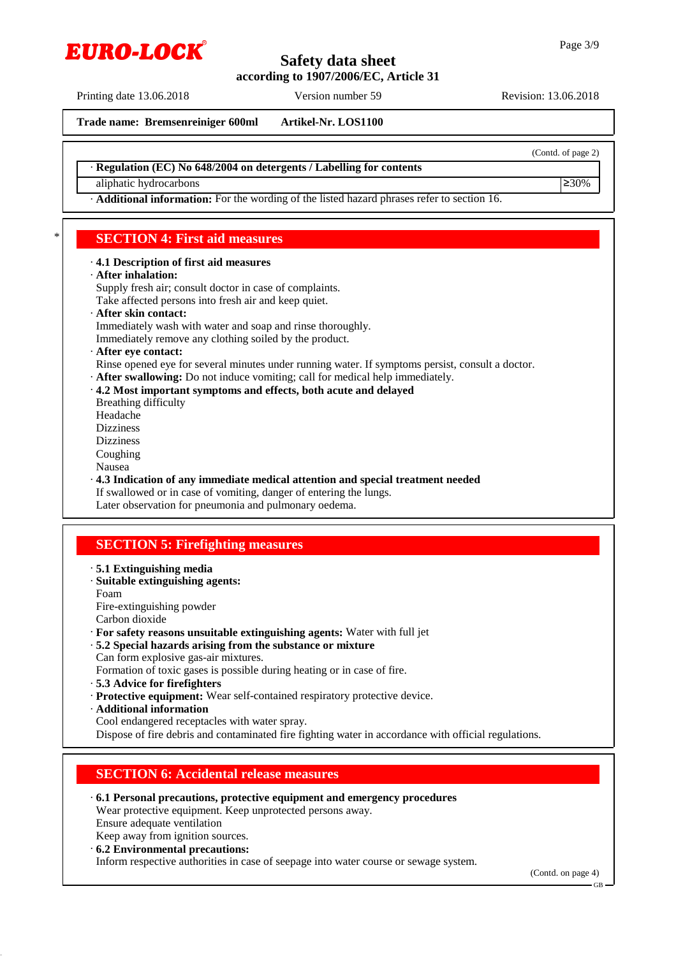Printing date 13.06.2018 Version number 59 Revision: 13.06.2018

**Trade name: Bremsenreiniger 600ml Artikel-Nr. LOS1100**

(Contd. of page 2)

· **Regulation (EC) No 648/2004 on detergents / Labelling for contents**

aliphatic hydrocarbons  $\geq 30\%$ 

· **Additional information:** For the wording of the listed hazard phrases refer to section 16.

## \* **SECTION 4: First aid measures**

#### · **4.1 Description of first aid measures**

· **After inhalation:**

Supply fresh air; consult doctor in case of complaints.

- Take affected persons into fresh air and keep quiet.
- · **After skin contact:**
- Immediately wash with water and soap and rinse thoroughly.
- Immediately remove any clothing soiled by the product.
- · **After eye contact:**
- Rinse opened eye for several minutes under running water. If symptoms persist, consult a doctor.
- · **After swallowing:** Do not induce vomiting; call for medical help immediately.
- · **4.2 Most important symptoms and effects, both acute and delayed**
- Breathing difficulty
- Headache
- Dizziness
- Dizziness
- Coughing
- Nausea
- · **4.3 Indication of any immediate medical attention and special treatment needed**
- If swallowed or in case of vomiting, danger of entering the lungs.

Later observation for pneumonia and pulmonary oedema.

## **SECTION 5: Firefighting measures**

- · **5.1 Extinguishing media**
- · **Suitable extinguishing agents:**
- Foam

Fire-extinguishing powder

- Carbon dioxide
- · **For safety reasons unsuitable extinguishing agents:** Water with full jet
- · **5.2 Special hazards arising from the substance or mixture**
- Can form explosive gas-air mixtures.
- Formation of toxic gases is possible during heating or in case of fire.
- · **5.3 Advice for firefighters**
- · **Protective equipment:** Wear self-contained respiratory protective device.
- · **Additional information**
- Cool endangered receptacles with water spray.

Dispose of fire debris and contaminated fire fighting water in accordance with official regulations.

## **SECTION 6: Accidental release measures**

- · **6.1 Personal precautions, protective equipment and emergency procedures** Wear protective equipment. Keep unprotected persons away. Ensure adequate ventilation
- Keep away from ignition sources.
- · **6.2 Environmental precautions:**

Inform respective authorities in case of seepage into water course or sewage system.

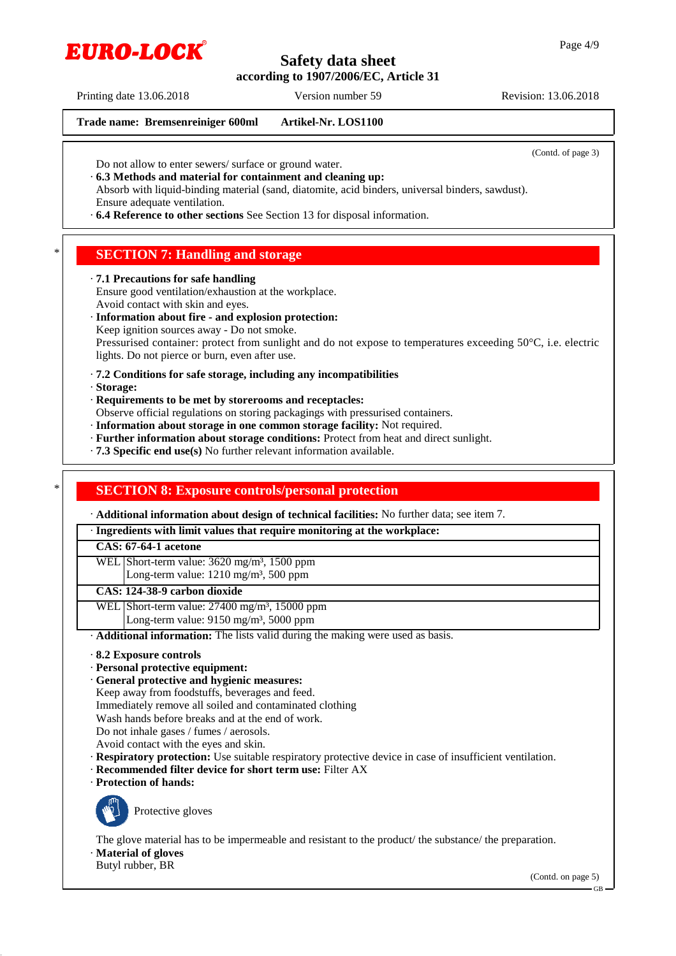Printing date 13.06.2018 Version number 59 Revision: 13.06.2018

EURO-LOCK

#### **Trade name: Bremsenreiniger 600ml Artikel-Nr. LOS1100**

(Contd. of page 3)

- Do not allow to enter sewers/ surface or ground water.
- · **6.3 Methods and material for containment and cleaning up:**
- Absorb with liquid-binding material (sand, diatomite, acid binders, universal binders, sawdust). Ensure adequate ventilation.
- · **6.4 Reference to other sections** See Section 13 for disposal information.

## **SECTION 7: Handling and storage**

#### · **7.1 Precautions for safe handling**

Ensure good ventilation/exhaustion at the workplace. Avoid contact with skin and eyes.

- · **Information about fire and explosion protection:**
- Keep ignition sources away Do not smoke.

Pressurised container: protect from sunlight and do not expose to temperatures exceeding 50°C, i.e. electric lights. Do not pierce or burn, even after use.

- · **7.2 Conditions for safe storage, including any incompatibilities**
- · **Storage:**
- · **Requirements to be met by storerooms and receptacles:**
- Observe official regulations on storing packagings with pressurised containers.
- · **Information about storage in one common storage facility:** Not required.
- · **Further information about storage conditions:** Protect from heat and direct sunlight.
- · **7.3 Specific end use(s)** No further relevant information available.

## **SECTION 8: Exposure controls/personal protection**

· **Additional information about design of technical facilities:** No further data; see item 7.

#### · **Ingredients with limit values that require monitoring at the workplace:**

#### **CAS: 67-64-1 acetone**

- WEL Short-term value: 3620 mg/m<sup>3</sup>, 1500 ppm
	- Long-term value: 1210 mg/m<sup>3</sup>, 500 ppm

#### **CAS: 124-38-9 carbon dioxide**

- WEL Short-term value: 27400 mg/m<sup>3</sup>, 15000 ppm
	- Long-term value:  $9150$  mg/m<sup>3</sup>, 5000 ppm
- · **Additional information:** The lists valid during the making were used as basis.
- · **8.2 Exposure controls**
- · **Personal protective equipment:**
- · **General protective and hygienic measures:**
- Keep away from foodstuffs, beverages and feed.
- Immediately remove all soiled and contaminated clothing
- Wash hands before breaks and at the end of work.
- Do not inhale gases / fumes / aerosols.
- Avoid contact with the eyes and skin.
- · **Respiratory protection:** Use suitable respiratory protective device in case of insufficient ventilation.
- · **Recommended filter device for short term use:** Filter AX
- · **Protection of hands:**



Protective gloves

The glove material has to be impermeable and resistant to the product/ the substance/ the preparation.

- · **Material of gloves**
- Butyl rubber, BR

(Contd. on page 5)

GB

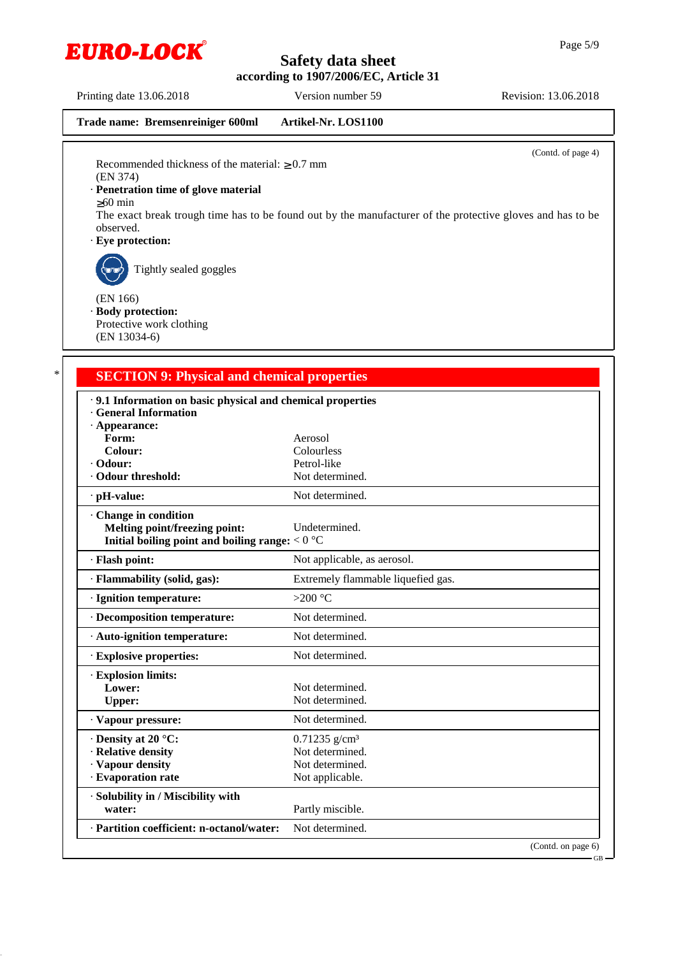

Page 5/9

Printing date 13.06.2018 Version number 59 Revision: 13.06.2018

```
Trade name: Bremsenreiniger 600ml Artikel-Nr. LOS1100
```
(Contd. of page 4)

Recommended thickness of the material:  $\geq 0.7$  mm (EN 374)

#### · **Penetration time of glove material**

Tightly sealed goggles

≥60 min

The exact break trough time has to be found out by the manufacturer of the protective gloves and has to be observed.

· **Eye protection:**

(EN 166)

· **Body protection:**

Protective work clothing (EN 13034-6)

## **SECTION 9: Physical and chemical properties**

| .9.1 Information on basic physical and chemical properties<br><b>General Information</b>                  |                                    |
|-----------------------------------------------------------------------------------------------------------|------------------------------------|
| $\cdot$ Appearance:                                                                                       |                                    |
| Form:                                                                                                     | Aerosol                            |
| Colour:                                                                                                   | Colourless                         |
| · Odour:                                                                                                  | Petrol-like                        |
| Odour threshold:                                                                                          | Not determined.                    |
| $\cdot$ pH-value:                                                                                         | Not determined.                    |
| Change in condition<br>Melting point/freezing point:<br>Initial boiling point and boiling range: $< 0$ °C | Undetermined.                      |
| · Flash point:                                                                                            | Not applicable, as aerosol.        |
| · Flammability (solid, gas):                                                                              | Extremely flammable liquefied gas. |
| · Ignition temperature:                                                                                   | >200 $^{\circ}$ C                  |
| · Decomposition temperature:                                                                              | Not determined.                    |
| · Auto-ignition temperature:                                                                              | Not determined.                    |
| <b>Explosive properties:</b>                                                                              | Not determined.                    |
| · Explosion limits:                                                                                       |                                    |
| Lower:                                                                                                    | Not determined.                    |
| <b>Upper:</b>                                                                                             | Not determined.                    |
| · Vapour pressure:                                                                                        | Not determined.                    |
| $\cdot$ Density at 20 °C:                                                                                 | $0.71235$ g/cm <sup>3</sup>        |
| · Relative density                                                                                        | Not determined.                    |
| · Vapour density                                                                                          | Not determined.                    |
| · Evaporation rate                                                                                        | Not applicable.                    |
| · Solubility in / Miscibility with                                                                        |                                    |
| water:                                                                                                    | Partly miscible.                   |
| · Partition coefficient: n-octanol/water:                                                                 | Not determined.                    |
|                                                                                                           | (Contd. on page 6)                 |

GB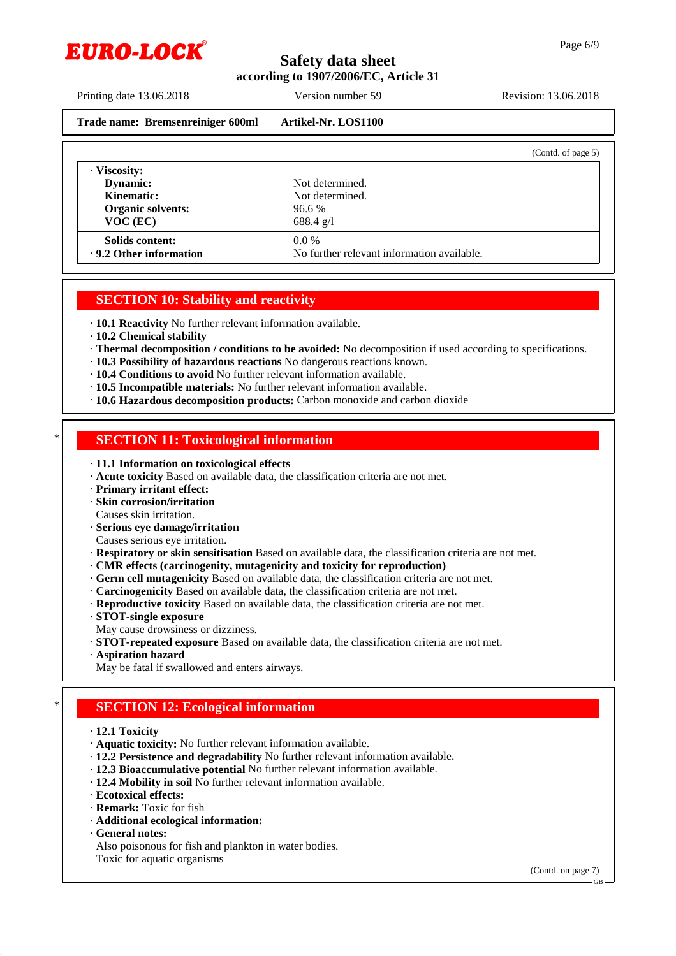

Printing date 13.06.2018 Version number 59 Revision: 13.06.2018

```
Trade name: Bremsenreiniger 600ml Artikel-Nr. LOS1100
```
(Contd. of page 5)

| $VOC$ (EC)<br>Solids content:<br>.9.2 Other information | 688.4 g/l<br>$0.0\%$<br>No further relevant information available. |  |
|---------------------------------------------------------|--------------------------------------------------------------------|--|
| Dynamic:<br><b>Kinematic:</b><br>Organic solvents:      | Not determined.<br>96.6%                                           |  |
| · Viscosity:                                            | Not determined.                                                    |  |

## **SECTION 10: Stability and reactivity**

· **10.1 Reactivity** No further relevant information available.

- · **10.2 Chemical stability**
- · **Thermal decomposition / conditions to be avoided:** No decomposition if used according to specifications.
- · **10.3 Possibility of hazardous reactions** No dangerous reactions known.
- · **10.4 Conditions to avoid** No further relevant information available.
- · **10.5 Incompatible materials:** No further relevant information available.
- · **10.6 Hazardous decomposition products:** Carbon monoxide and carbon dioxide

## **SECTION 11: Toxicological information**

- · **11.1 Information on toxicological effects**
- · **Acute toxicity** Based on available data, the classification criteria are not met.
- · **Primary irritant effect:**
- · **Skin corrosion/irritation**
- Causes skin irritation.
- · **Serious eye damage/irritation**
- Causes serious eye irritation.
- · **Respiratory or skin sensitisation** Based on available data, the classification criteria are not met.
- · **CMR effects (carcinogenity, mutagenicity and toxicity for reproduction)**
- · **Germ cell mutagenicity** Based on available data, the classification criteria are not met.
- · **Carcinogenicity** Based on available data, the classification criteria are not met.
- · **Reproductive toxicity** Based on available data, the classification criteria are not met.
- · **STOT-single exposure**
- May cause drowsiness or dizziness.
- · **STOT-repeated exposure** Based on available data, the classification criteria are not met.
- · **Aspiration hazard**
- May be fatal if swallowed and enters airways.

## **SECTION 12: Ecological information**

- · **12.1 Toxicity**
- · **Aquatic toxicity:** No further relevant information available.
- · **12.2 Persistence and degradability** No further relevant information available.
- · **12.3 Bioaccumulative potential** No further relevant information available.
- · **12.4 Mobility in soil** No further relevant information available.
- · **Ecotoxical effects:**
- · **Remark:** Toxic for fish
- · **Additional ecological information:**
- · **General notes:**
- Also poisonous for fish and plankton in water bodies.
- Toxic for aquatic organisms

(Contd. on page 7)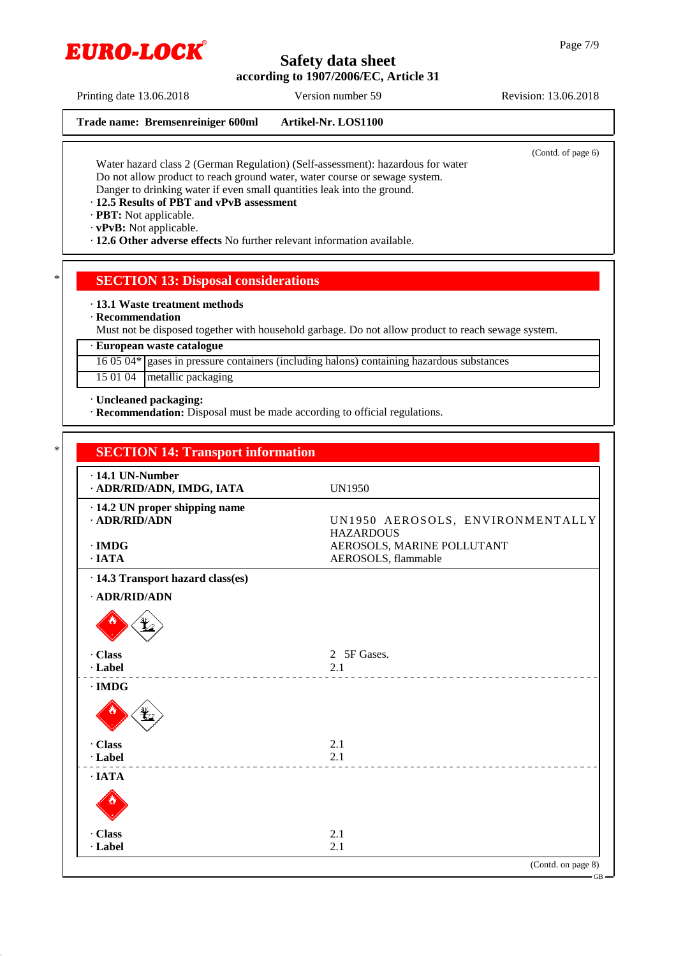

Printing date 13.06.2018 Version number 59 Revision: 13.06.2018

EURO-LOCK

#### **Trade name: Bremsenreiniger 600ml Artikel-Nr. LOS1100**

(Contd. of page 6)

Water hazard class 2 (German Regulation) (Self-assessment): hazardous for water Do not allow product to reach ground water, water course or sewage system. Danger to drinking water if even small quantities leak into the ground.

#### · **12.5 Results of PBT and vPvB assessment**

· **PBT:** Not applicable.

· **vPvB:** Not applicable.

· **12.6 Other adverse effects** No further relevant information available.

#### **SECTION 13: Disposal considerations**

· **13.1 Waste treatment methods**

#### · **Recommendation**

Must not be disposed together with household garbage. Do not allow product to reach sewage system.

#### · **European waste catalogue**

16 05 04\* gases in pressure containers (including halons) containing hazardous substances

15 01 04 metallic packaging

· **Uncleaned packaging:**

· **Recommendation:** Disposal must be made according to official regulations.

| $\cdot$ 14.1 UN-Number<br>· ADR/RID/ADN, IMDG, IATA   | <b>UN1950</b>                                        |
|-------------------------------------------------------|------------------------------------------------------|
| · 14.2 UN proper shipping name<br>$\cdot$ ADR/RID/ADN | UN1950 AEROSOLS, ENVIRONMENTALLY<br><b>HAZARDOUS</b> |
| $\cdot$ IMDG                                          | AEROSOLS, MARINE POLLUTANT                           |
| $\cdot$ IATA                                          | AEROSOLS, flammable                                  |
| · 14.3 Transport hazard class(es)                     |                                                      |
| · ADR/RID/ADN                                         |                                                      |
|                                                       |                                                      |
| · Class                                               | 2 5F Gases.                                          |
| · Label                                               | 2.1                                                  |
| $\cdot$ IMDG                                          |                                                      |
|                                                       |                                                      |
| · Class                                               | 2.1                                                  |
| · Label                                               | 2.1                                                  |
| $\cdot$ IATA                                          |                                                      |
|                                                       |                                                      |
| · Class                                               | 2.1                                                  |
| · Label                                               | 2.1                                                  |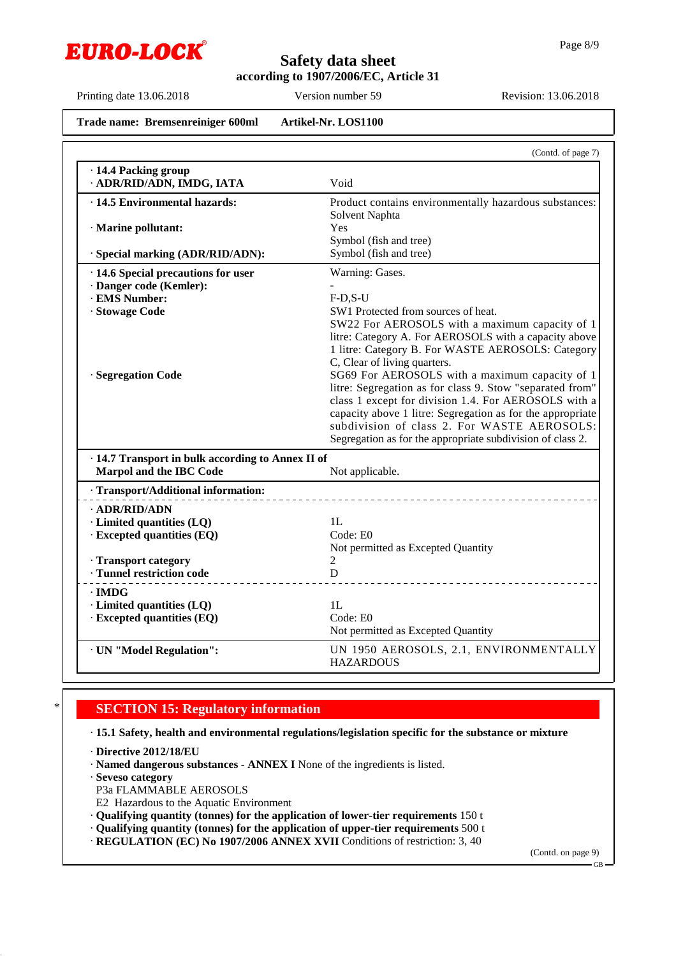

Page 8/9

Printing date 13.06.2018 Version number 59 Revision: 13.06.2018

**Trade name: Bremsenreiniger 600ml Artikel-Nr. LOS1100**

|                                                   | (Contd. of page 7)                                                                                                                                                                                                                                                                                                                            |
|---------------------------------------------------|-----------------------------------------------------------------------------------------------------------------------------------------------------------------------------------------------------------------------------------------------------------------------------------------------------------------------------------------------|
| · 14.4 Packing group<br>· ADR/RID/ADN, IMDG, IATA | Void                                                                                                                                                                                                                                                                                                                                          |
| $\cdot$ 14.5 Environmental hazards:               | Product contains environmentally hazardous substances:<br>Solvent Naphta                                                                                                                                                                                                                                                                      |
| · Marine pollutant:                               | Yes<br>Symbol (fish and tree)                                                                                                                                                                                                                                                                                                                 |
| · Special marking (ADR/RID/ADN):                  | Symbol (fish and tree)                                                                                                                                                                                                                                                                                                                        |
| · 14.6 Special precautions for user               | Warning: Gases.                                                                                                                                                                                                                                                                                                                               |
| · Danger code (Kemler):                           |                                                                                                                                                                                                                                                                                                                                               |
| · EMS Number:                                     | $F-D,S-U$                                                                                                                                                                                                                                                                                                                                     |
| · Stowage Code                                    | SW1 Protected from sources of heat.<br>SW22 For AEROSOLS with a maximum capacity of 1<br>litre: Category A. For AEROSOLS with a capacity above<br>1 litre: Category B. For WASTE AEROSOLS: Category<br>C, Clear of living quarters.                                                                                                           |
| · Segregation Code                                | SG69 For AEROSOLS with a maximum capacity of 1<br>litre: Segregation as for class 9. Stow "separated from"<br>class 1 except for division 1.4. For AEROSOLS with a<br>capacity above 1 litre: Segregation as for the appropriate<br>subdivision of class 2. For WASTE AEROSOLS:<br>Segregation as for the appropriate subdivision of class 2. |
| · 14.7 Transport in bulk according to Annex II of |                                                                                                                                                                                                                                                                                                                                               |
| Marpol and the IBC Code                           | Not applicable.                                                                                                                                                                                                                                                                                                                               |
| · Transport/Additional information:               |                                                                                                                                                                                                                                                                                                                                               |
| $\cdot$ ADR/RID/ADN                               |                                                                                                                                                                                                                                                                                                                                               |
| · Limited quantities (LQ)                         | 1L                                                                                                                                                                                                                                                                                                                                            |
| · Excepted quantities (EQ)                        | Code: E0                                                                                                                                                                                                                                                                                                                                      |
|                                                   | Not permitted as Excepted Quantity                                                                                                                                                                                                                                                                                                            |
| · Transport category                              | 2                                                                                                                                                                                                                                                                                                                                             |
| · Tunnel restriction code                         | D                                                                                                                                                                                                                                                                                                                                             |
| · IMDG                                            |                                                                                                                                                                                                                                                                                                                                               |
| · Limited quantities (LQ)                         | 1L                                                                                                                                                                                                                                                                                                                                            |
| · Excepted quantities (EQ)                        | Code: E0                                                                                                                                                                                                                                                                                                                                      |
|                                                   | Not permitted as Excepted Quantity                                                                                                                                                                                                                                                                                                            |
| · UN "Model Regulation":                          | UN 1950 AEROSOLS, 2.1, ENVIRONMENTALLY<br><b>HAZARDOUS</b>                                                                                                                                                                                                                                                                                    |

## **SECTION 15: Regulatory information**

· **15.1 Safety, health and environmental regulations/legislation specific for the substance or mixture**

· **Directive 2012/18/EU**

· **Named dangerous substances - ANNEX I** None of the ingredients is listed.

· **Seveso category**

P3a FLAMMABLE AEROSOLS

E2 Hazardous to the Aquatic Environment

· **Qualifying quantity (tonnes) for the application of lower-tier requirements** 150 t

· **Qualifying quantity (tonnes) for the application of upper-tier requirements** 500 t

· **REGULATION (EC) No 1907/2006 ANNEX XVII** Conditions of restriction: 3, 40

(Contd. on page 9)

GB